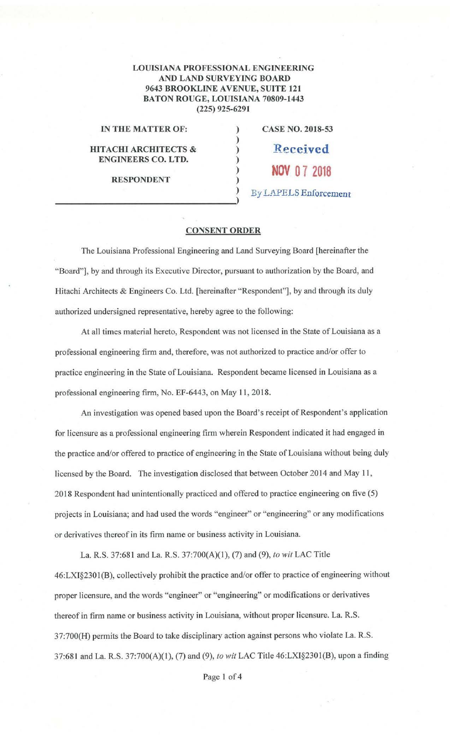## LOUISIANA PROFESSIONAL ENGINEERING AND LAND SURVEYING BOARD 9643 BROOKLINE AVENUE, SUITE 121 BATON ROUGE, LOUISIANA 70809-1443 (225) 925-6291

)

)

)

## **IN THE MATTER OF:**

## **HITACHI ARCHITECTS** & **ENGINEERS CO. LTD.**

**RESPONDENT** 

) **CASE NO. 2018-53** 

> **NOV O 7 2018** 

) **Received** 

) By *L~1.PELS* Enforcement

## **CONSENT ORDER**

The Louisiana Professional Engineering and Land Surveying Board [hereinafter the "Board"], by and through its Executive Director, pursuant to authorization by the Board, and Hitachi Architects & Engineers Co. Ltd. [hereinafter "Respondent"], by and through its duly authorized undersigned representative, hereby agree to the following:

At all times material hereto, Respondent was not licensed in the State of Louisiana as a professional engineering firm and, therefore, was not authorized to practice and/or offer to practice engineering in the State of Louisiana. Respondent became licensed in Louisiana as a professional engineering firm, No. EF-6443, on May I 1, 2018.

An investigation was opened based upon the Board's receipt of Respondent's application for licensure as a professional engineering firm wherein Respondent indicated it had engaged in the practice and/or offered to practice of engineering in the State of Louisiana without being duly licensed by the Board. The investigation disclosed that between October 2014 and May 11, 2018 Respondent had unintentionally practiced and offered to practice engineering on five (5) projects in Louisiana; and had used the words "engineer" or "engineering" or any modifications or derivatives thereof in its firm name or business activity in Louisiana.

La. R.S. 37:681 and La. R.S. 37:700(A)(l), (7) and (9), *to wit* LAC Title 46:LXI§2301 (B), collectively prohibit the practice and/or offer to practice of engineering without proper licensure, and the words "engineer" or "engineering" or modifications or derivatives thereof in firm name or business activity in Louisiana, without proper licensure. La. R.S. 37:700(H) permits the Board to take disciplinary action against persons who violate La. R.S. 37:681 and La. R.S. 37:700(A)(l), (7) and (9), *to wit* LAC Title 46:LXI§2301(B), upon a finding

Page 1 of 4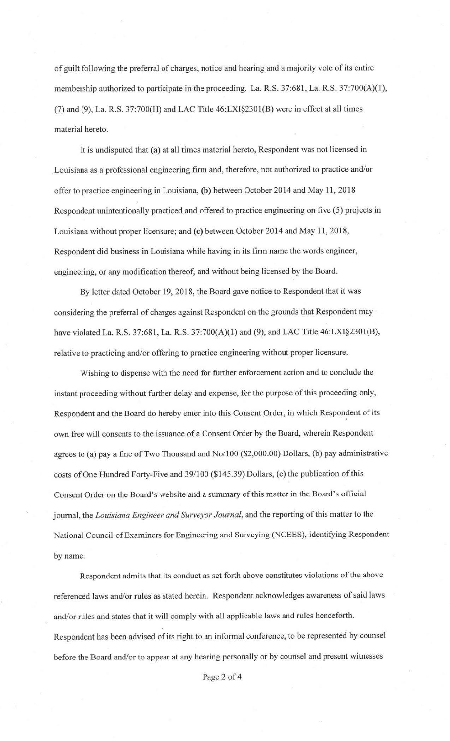of guilt following the preferral of charges, notice and hearing and a majority vote of its entire membership authorized to participate in the proceeding. La. R.S. 37:681, La. R.S. 37:700(A)(1), (7) and (9), La. R.S. 37:700(H) and LAC Title 46:LXI§2301(B) were in effect at all times material hereto.

It is undisputed that (a) at all times material hereto, Respondent was not licensed in Louisiana as a professional engineering firm and, therefore, not authorized to practice and/or offer to practice engineering in Louisiana, (b) between October 2014 and May 11, 2018 Respondent unintentionally practiced and offered to practice engineering on five (5) projects in Louisiana without proper licensure; and (c) between October 2014 and May 11, 2018, Respondent did business in Louisiana while having in its firm name the words engineer, engineering, or any modification thereof, and without being licensed by the Board.

By letter dated October 19, 2018, the Board gave notice to Respondent that it was considering the preferral of charges against Respondent on the grounds that Respondent may have violated La. R.S. 37:681, La. R.S. 37:700(A)(l) and (9), and LAC Title 46:LXI§2301(B), relative to practicing and/or offering to practice engineering without proper licensure.

Wishing to dispense with the need for further enforcement action and to conclude the instant proceeding without further delay and expense, for the purpose of this proceeding only, Respondent and the Board do hereby enter into this Consent Order, in which Respondent of its own free will consents to the issuance of a Consent Order by the Board, wherein Respondent agrees to (a) pay a fine of Two Thousand and No/100 (\$2,000.00) Dollars, (b) pay administrative costs of One Hundred Forty-Five and 39/100 (\$145.39) Dollars, (c) the publication of this Consent Order on the Board's website and a summary of this matter in the Board's official journal, the *Louisiana Engineer and Surveyor Journal,* and the reporting of this matter to the National Council of Examiners for Engineering and Surveying (NCEES), identifying Respondent by name.

Respondent admits that its conduct as set forth above constitutes violations of the above referenced laws and/or rules as stated herein. Respondent acknowledges awareness of said laws and/or rules and states that it will comply with all applicable laws and rules henceforth. Respondent has been advised of its right to an informal conference, to be represented by counsel before the Board and/or to appear at any hearing personally or by counsel and present witnesses

Page 2 of 4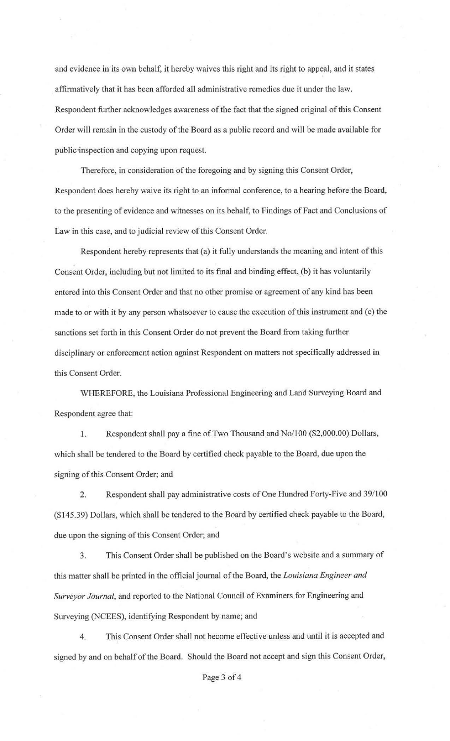and evidence in its own behalf, it hereby waives this right and its right to appeal, and it states affirmatively that it has been afforded all administrative remedies due it under the law. Respondent further acknowledges awareness of the fact that the signed original of this Consent Order will remain in the custody of the Board as a public record and will be made available for public·inspection and copying upon request.

Therefore, in consideration of the foregoing and by signing this Consent Order, Respondent does hereby waive its right to an informal conference, to a hearing before the Board, to the presenting of evidence and witnesses on its behalf, to Findings of Fact and Conclusions of Law in this case, and to judicial review of this Consent Order.

Respondent hereby represents that (a) it fully understands the meaning and intent of this Consent Order, including but not limited to its final and binding effect, (b) it has voluntarily entered into this Consent Order and that no other promise or agreement of any kind has been made to or with it by any person whatsoever to cause the execution of this instrument and (c) the sanctions set forth in this Consent Order do not prevent the Board from taking further disciplinary or enforcement action against Respondent on matters not specifically addressed in this Consent Order.

WHEREFORE, the Louisiana Professional Engineering and Land Surveying Board and Respondent agree that:

1. Respondent shall pay a fine of Two Thousand and No/100 (\$2,000.00) Dollars, which shall be tendered to the Board by certified check payable to the Board, due upon the signing of this Consent Order; and

2. Respondent shall pay administrative costs of One Hundred Forty-Five and 39/100 (\$145.39) Dollars, which shall be tendered to the Board by certified check payable to the Board, due upon the signing of this Consent Order; and

3. This Consent Order shall be published on the Board's website and a summary of this matter shall be printed in the official journal of the Board, the *Louisiana Engineer and Surveyor Journal*, and reported to the National Council of Examiners for Engineering and Surveying (NCEES), identifying Respondent by name; and

4. This Consent Order shall not become effective unless and until it is accepted and signed by and on behalf of the Board. Should the Board not accept and sign this Consent Order,

Page 3 of 4